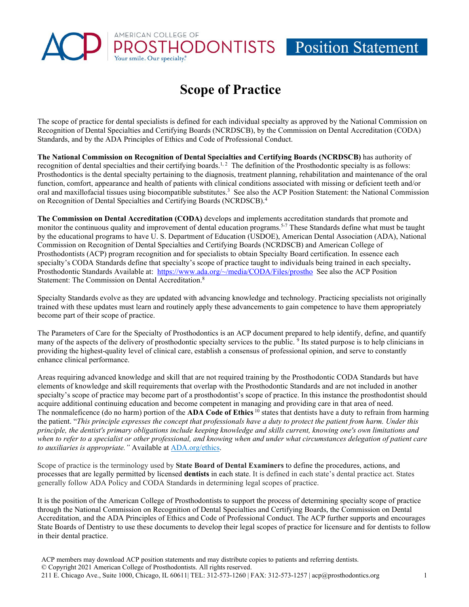## **Scope of Practice**

HODONTISTS Position Statement

AMERICAN COLLEGE OF

The scope of practice for dental specialists is defined for each individual specialty as approved by the National Commission on Recognition of Dental Specialties and Certifying Boards (NCRDSCB), by the Commission on Dental Accreditation (CODA) Standards, and by the ADA Principles of Ethics and Code of Professional Conduct.

**The National Commission on Recognition of Dental Specialties and Certifying Boards (NCRDSCB)** has authority of recognition of dental specialties and their certifying boards.<sup>1, 2</sup> The definition of the Prosthodontic specialty is as follows: Prosthodontics is the dental specialty pertaining to the diagnosis, treatment planning, rehabilitation and maintenance of the oral function, comfort, appearance and health of patients with clinical conditions associated with missing or deficient teeth and/or oral and maxillofacial tissues using biocompatible substitutes.<sup>3</sup> See also the ACP Position Statement: the National Commission on Recognition of Dental Specialties and Certifying Boards (NCRDSCB).4

**The Commission on Dental Accreditation (CODA)** develops and implements accreditation standards that promote and monitor the continuous quality and improvement of dental education programs.<sup>5-7</sup> These Standards define what must be taught by the educational programs to have U. S. Department of Education (USDOE), American Dental Association (ADA), National Commission on Recognition of Dental Specialties and Certifying Boards (NCRDSCB) and American College of Prosthodontists (ACP) program recognition and for specialists to obtain Specialty Board certification. In essence each specialty's CODA Standards define that specialty's scope of practice taught to individuals being trained in each specialty**.** Prosthodontic Standards Available at: [https://www.ada.org/~/media/CODA/Files/prostho](https://www.ada.org/%7E/media/CODA/Files/prostho) See also the ACP Position Statement: The Commission on Dental Accreditation.<sup>8</sup>

Specialty Standards evolve as they are updated with advancing knowledge and technology. Practicing specialists not originally trained with these updates must learn and routinely apply these advancements to gain competence to have them appropriately become part of their scope of practice.

The Parameters of Care for the Specialty of Prosthodontics is an ACP document prepared to help identify, define, and quantify many of the aspects of the delivery of prosthodontic specialty services to the public.<sup>9</sup> Its stated purpose is to help clinicians in providing the highest-quality level of clinical care, establish a consensus of professional opinion, and serve to constantly enhance clinical performance.

Areas requiring advanced knowledge and skill that are not required training by the Prosthodontic CODA Standards but have elements of knowledge and skill requirements that overlap with the Prosthodontic Standards and are not included in another specialty's scope of practice may become part of a prosthodontist's scope of practice. In this instance the prosthodontist should acquire additional continuing education and become competent in managing and providing care in that area of need. The nonmaleficence (do no harm) portion of the **ADA Code of Ethics** <sup>10</sup> states that dentists have a duty to refrain from harming the patient. "*This principle expresses the concept that professionals have a duty to protect the patient from harm. Under this principle, the dentist's primary obligations include keeping knowledge and skills current, knowing one's own limitations and when to refer to a specialist or other professional, and knowing when and under what circumstances delegation of patient care*  to auxiliaries is appropriate." Available at **ADA**.org/ethics.

Scope of practice is the terminology used by **State Board of Dental Examiners** to define the procedures, actions, and processes that are legally permitted by licensed **dentists** in each state. It is defined in each state's dental practice act. States generally follow ADA Policy and CODA Standards in determining legal scopes of practice.

It is the position of the American College of Prosthodontists to support the process of determining specialty scope of practice through the National Commission on Recognition of Dental Specialties and Certifying Boards, the Commission on Dental Accreditation, and the ADA Principles of Ethics and Code of Professional Conduct. The ACP further supports and encourages State Boards of Dentistry to use these documents to develop their legal scopes of practice for licensure and for dentists to follow in their dental practice.